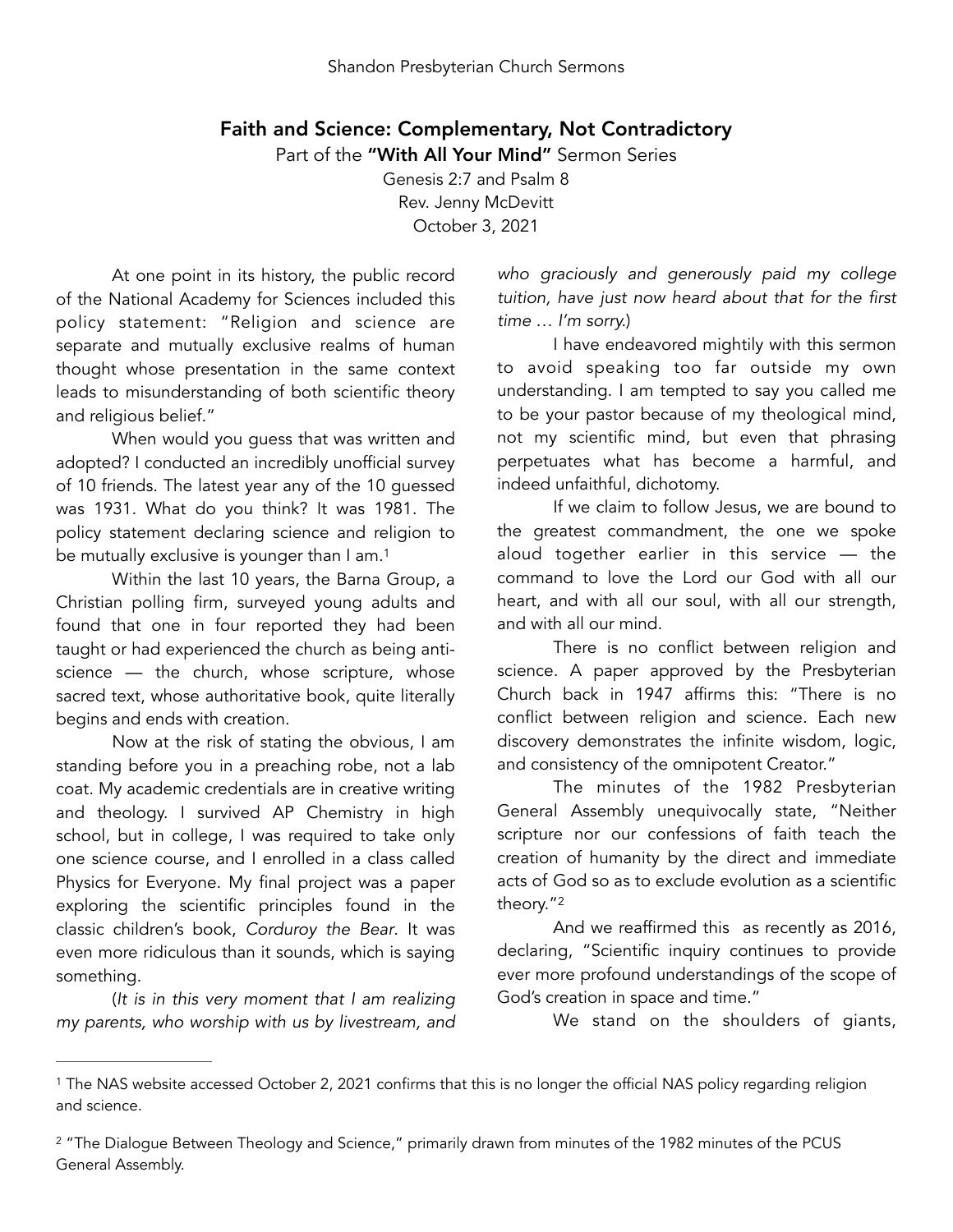## Faith and Science: Complementary, Not Contradictory

Part of the "With All Your Mind" Sermon Series

Genesis 2:7 and Psalm 8 Rev. Jenny McDevitt October 3, 2021

At one point in its history, the public record of the National Academy for Sciences included this policy statement: "Religion and science are separate and mutually exclusive realms of human thought whose presentation in the same context leads to misunderstanding of both scientific theory and religious belief."

When would you guess that was written and adopted? I conducted an incredibly unofficial survey of 10 friends. The latest year any of the 10 guessed was 1931. What do you think? It was 1981. The policy statement declaring science and religion to be mutually exclusive is younger than I am.<sup>[1](#page-0-0)</sup>

Within the last 10 years, the Barna Group, a Christian polling firm, surveyed young adults and found that one in four reported they had been taught or had experienced the church as being antiscience — the church, whose scripture, whose sacred text, whose authoritative book, quite literally begins and ends with creation.

Now at the risk of stating the obvious, I am standing before you in a preaching robe, not a lab coat. My academic credentials are in creative writing and theology. I survived AP Chemistry in high school, but in college, I was required to take only one science course, and I enrolled in a class called Physics for Everyone. My final project was a paper exploring the scientific principles found in the classic children's book, *Corduroy the Bear*. It was even more ridiculous than it sounds, which is saying something.

(*It is in this very moment that I am realizing my parents, who worship with us by livestream, and*  *who graciously and generously paid my college tuition, have just now heard about that for the first time … I'm sorry.*)

I have endeavored mightily with this sermon to avoid speaking too far outside my own understanding. I am tempted to say you called me to be your pastor because of my theological mind, not my scientific mind, but even that phrasing perpetuates what has become a harmful, and indeed unfaithful, dichotomy.

<span id="page-0-2"></span>If we claim to follow Jesus, we are bound to the greatest commandment, the one we spoke aloud together earlier in this service — the command to love the Lord our God with all our heart, and with all our soul, with all our strength, and with all our mind.

There is no conflict between religion and science. A paper approved by the Presbyterian Church back in 1947 affirms this: "There is no conflict between religion and science. Each new discovery demonstrates the infinite wisdom, logic, and consistency of the omnipotent Creator."

The minutes of the 1982 Presbyterian General Assembly unequivocally state, "Neither scripture nor our confessions of faith teach the creation of humanity by the direct and immediate acts of God so as to exclude evolution as a scientific theory."[2](#page-0-1)

<span id="page-0-3"></span>And we reaffirmed this as recently as 2016, declaring, "Scientific inquiry continues to provide ever more profound understandings of the scope of God's creation in space and time."

We stand on the shoulders of giants,

<span id="page-0-0"></span><sup>&</sup>lt;sup>1</sup>The NAS website accessed October 2, 202[1](#page-0-2) confirms that this is no longer the official NAS policy regarding religion and science.

<span id="page-0-1"></span><sup>&</sup>lt;sup>2</sup>"The Dialogue Between Theology and Science," primarily drawn from minutes of the 198[2](#page-0-3) minutes of the PCUS General Assembly.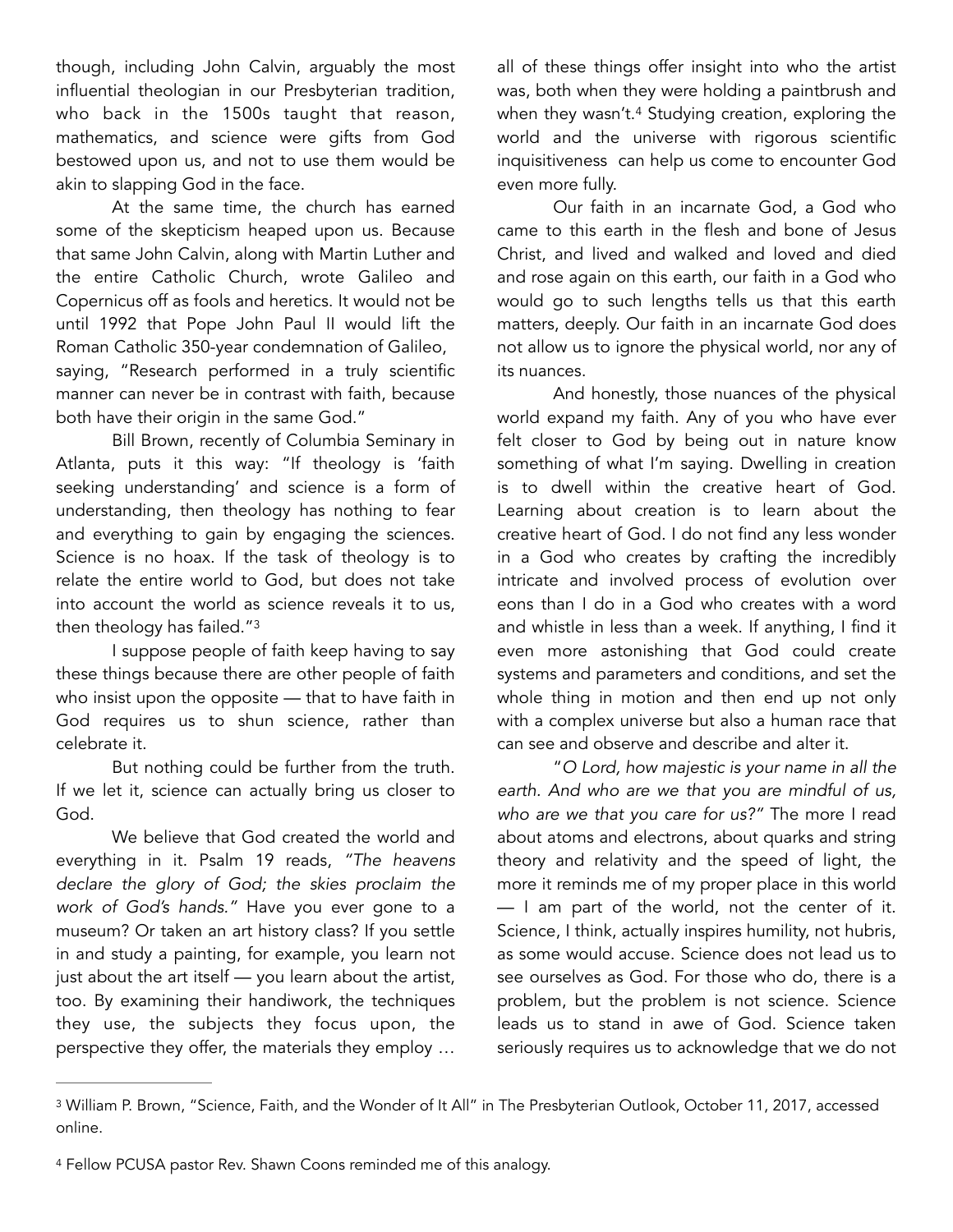though, including John Calvin, arguably the most influential theologian in our Presbyterian tradition, who back in the 1500s taught that reason, mathematics, and science were gifts from God bestowed upon us, and not to use them would be akin to slapping God in the face.

At the same time, the church has earned some of the skepticism heaped upon us. Because that same John Calvin, along with Martin Luther and the entire Catholic Church, wrote Galileo and Copernicus off as fools and heretics. It would not be until 1992 that Pope John Paul II would lift the Roman Catholic 350-year condemnation of Galileo, saying, "Research performed in a truly scientific manner can never be in contrast with faith, because both have their origin in the same God."

Bill Brown, recently of Columbia Seminary in Atlanta, puts it this way: "If theology is 'faith seeking understanding' and science is a form of understanding, then theology has nothing to fear and everything to gain by engaging the sciences. Science is no hoax. If the task of theology is to relate the entire world to God, but does not take into account the world as science reveals it to us, then theology has failed.["3](#page-1-0)

<span id="page-1-2"></span>I suppose people of faith keep having to say these things because there are other people of faith who insist upon the opposite — that to have faith in God requires us to shun science, rather than celebrate it.

But nothing could be further from the truth. If we let it, science can actually bring us closer to God.

We believe that God created the world and everything in it. Psalm 19 reads, *"The heavens declare the glory of God; the skies proclaim the work of God's hands."* Have you ever gone to a museum? Or taken an art history class? If you settle in and study a painting, for example, you learn not just about the art itself — you learn about the artist, too. By examining their handiwork, the techniques they use, the subjects they focus upon, the perspective they offer, the materials they employ … <span id="page-1-3"></span>all of these things offer insight into who the artist was, both when they were holding a paintbrush and when they wasn't[.](#page-1-1)<sup>[4](#page-1-1)</sup> Studying creation, exploring the world and the universe with rigorous scientific inquisitiveness can help us come to encounter God even more fully.

Our faith in an incarnate God, a God who came to this earth in the flesh and bone of Jesus Christ, and lived and walked and loved and died and rose again on this earth, our faith in a God who would go to such lengths tells us that this earth matters, deeply. Our faith in an incarnate God does not allow us to ignore the physical world, nor any of its nuances.

And honestly, those nuances of the physical world expand my faith. Any of you who have ever felt closer to God by being out in nature know something of what I'm saying. Dwelling in creation is to dwell within the creative heart of God. Learning about creation is to learn about the creative heart of God. I do not find any less wonder in a God who creates by crafting the incredibly intricate and involved process of evolution over eons than I do in a God who creates with a word and whistle in less than a week. If anything, I find it even more astonishing that God could create systems and parameters and conditions, and set the whole thing in motion and then end up not only with a complex universe but also a human race that can see and observe and describe and alter it.

"*O Lord, how majestic is your name in all the earth. And who are we that you are mindful of us, who are we that you care for us?"* The more I read about atoms and electrons, about quarks and string theory and relativity and the speed of light, the more it reminds me of my proper place in this world — I am part of the world, not the center of it. Science, I think, actually inspires humility, not hubris, as some would accuse. Science does not lead us to see ourselves as God. For those who do, there is a problem, but the problem is not science. Science leads us to stand in awe of God. Science taken seriously requires us to acknowledge that we do not

<span id="page-1-0"></span><sup>&</sup>lt;sup>3</sup>William P. Brown, "Science, Faith, and the Wonder of It All" in The Presbyterian Outlook, October 11, 2017, accessed online.

<span id="page-1-1"></span><sup>4</sup>Fellow PCUSA pastor Rev. Shawn Coons reminded me of this analogy.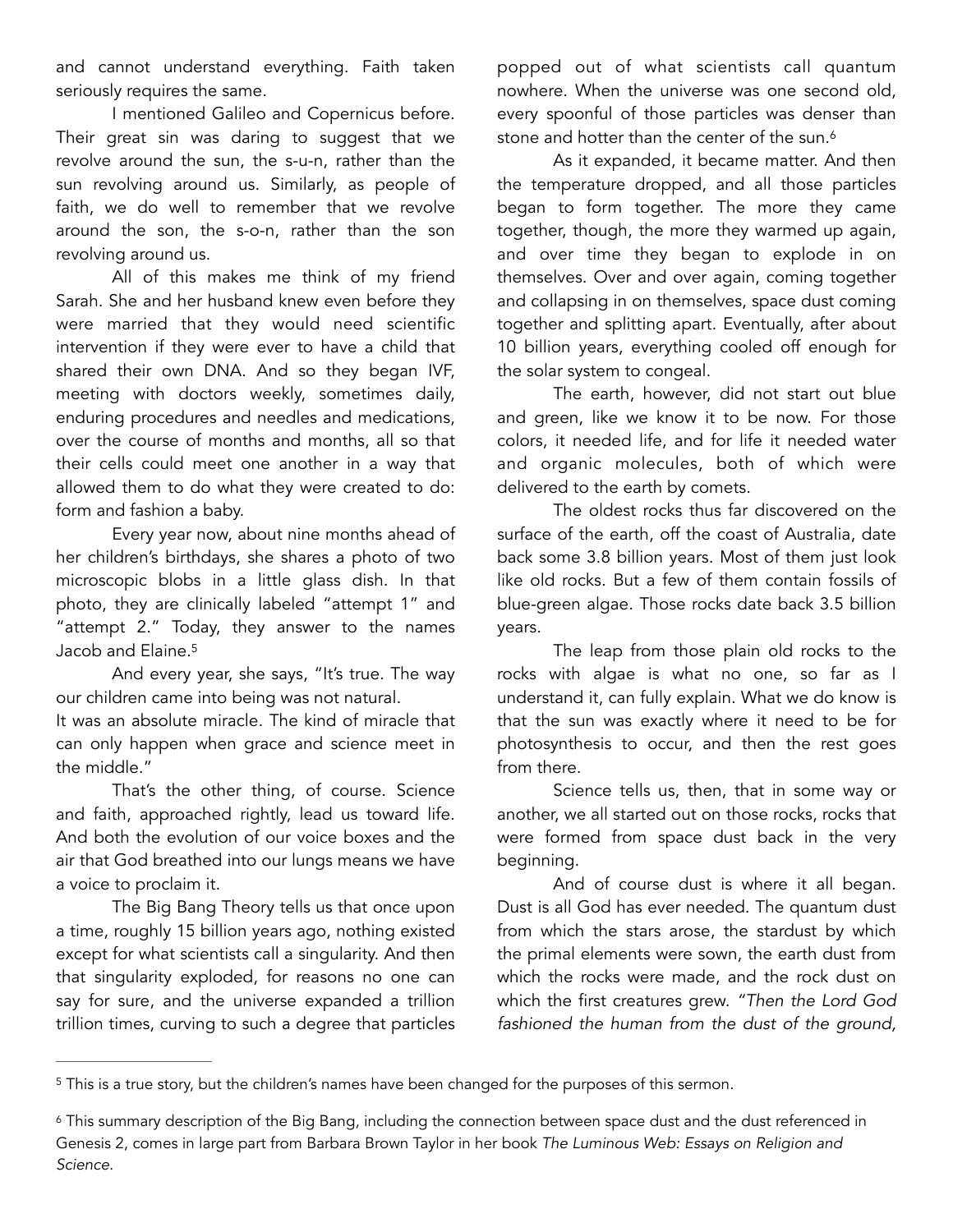and cannot understand everything. Faith taken seriously requires the same.

I mentioned Galileo and Copernicus before. Their great sin was daring to suggest that we revolve around the sun, the s-u-n, rather than the sun revolving around us. Similarly, as people of faith, we do well to remember that we revolve around the son, the s-o-n, rather than the son revolving around us.

All of this makes me think of my friend Sarah. She and her husband knew even before they were married that they would need scientific intervention if they were ever to have a child that shared their own DNA. And so they began IVF, meeting with doctors weekly, sometimes daily, enduring procedures and needles and medications, over the course of months and months, all so that their cells could meet one another in a way that allowed them to do what they were created to do: form and fashion a baby.

Every year now, about nine months ahead of her children's birthdays, she shares a photo of two microscopic blobs in a little glass dish. In that photo, they are clinically labeled "attempt 1" and "attempt 2." Today, they answer to the names Jacob and Elaine[.5](#page-2-0)

<span id="page-2-2"></span>And every year, she says, "It's true. The way our children came into being was not natural.

It was an absolute miracle. The kind of miracle that can only happen when grace and science meet in the middle."

That's the other thing, of course. Science and faith, approached rightly, lead us toward life. And both the evolution of our voice boxes and the air that God breathed into our lungs means we have a voice to proclaim it.

The Big Bang Theory tells us that once upon a time, roughly 15 billion years ago, nothing existed except for what scientists call a singularity. And then that singularity exploded, for reasons no one can say for sure, and the universe expanded a trillion trillion times, curving to such a degree that particles

popped out of what scientists call quantum nowhere. When the universe was one second old, every spoonful of those particles was denser than stone and hotter than the center of the sun.<sup>6</sup>

<span id="page-2-3"></span>As it expanded, it became matter. And then the temperature dropped, and all those particles began to form together. The more they came together, though, the more they warmed up again, and over time they began to explode in on themselves. Over and over again, coming together and collapsing in on themselves, space dust coming together and splitting apart. Eventually, after about 10 billion years, everything cooled off enough for the solar system to congeal.

The earth, however, did not start out blue and green, like we know it to be now. For those colors, it needed life, and for life it needed water and organic molecules, both of which were delivered to the earth by comets.

The oldest rocks thus far discovered on the surface of the earth, off the coast of Australia, date back some 3.8 billion years. Most of them just look like old rocks. But a few of them contain fossils of blue-green algae. Those rocks date back 3.5 billion years.

The leap from those plain old rocks to the rocks with algae is what no one, so far as I understand it, can fully explain. What we do know is that the sun was exactly where it need to be for photosynthesis to occur, and then the rest goes from there.

Science tells us, then, that in some way or another, we all started out on those rocks, rocks that were formed from space dust back in the very beginning.

And of course dust is where it all began. Dust is all God has ever needed. The quantum dust from which the stars arose, the stardust by which the primal elements were sown, the earth dust from which the rocks were made, and the rock dust on which the first creatures grew. *"Then the Lord God fashioned the human from the dust of the ground,* 

<span id="page-2-0"></span><sup>&</sup>lt;sup>5</sup>This is a true story, but the children's names have been changed for the purposes of this sermon.

<span id="page-2-1"></span>This summary description of the Big Bang, including the connection between space dust and the dust referenced in [6](#page-2-3) Genesis 2, comes in large part from Barbara Brown Taylor in her book *The Luminous Web: Essays on Religion and Science*.